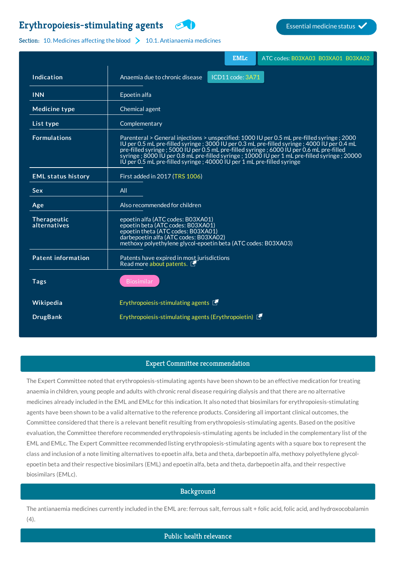# **[Erythropoiesis-stimulating](http://list.essentialmeds.org/medicines/122) agents Experiment COVIDE STATES Essential medicine status**



#### Section: 10. [Medicines](http://list.essentialmeds.org/?section=379) affecting the blood  $\sum$  10.1. [Antianaemia](http://list.essentialmeds.org/?section=380) medicines

|                             | <b>EMLc</b><br>ATC codes: B03XA03 B03XA01 B03XA02                                                                                                                                                                                                                                                                                                                                                                                                                  |
|-----------------------------|--------------------------------------------------------------------------------------------------------------------------------------------------------------------------------------------------------------------------------------------------------------------------------------------------------------------------------------------------------------------------------------------------------------------------------------------------------------------|
| Indication                  | ICD11 code: 3A71<br>Anaemia due to chronic disease                                                                                                                                                                                                                                                                                                                                                                                                                 |
| <b>INN</b>                  | Epoetin alfa                                                                                                                                                                                                                                                                                                                                                                                                                                                       |
| <b>Medicine type</b>        | Chemical agent                                                                                                                                                                                                                                                                                                                                                                                                                                                     |
| List type                   | Complementary                                                                                                                                                                                                                                                                                                                                                                                                                                                      |
| <b>Formulations</b>         | Parenteral > General injections > unspecified: 1000 IU per 0.5 mL pre-filled syringe ; 2000<br>IU per 0.5 mL pre-filled syringe; 3000 IU per 0.3 mL pre-filled syringe; 4000 IU per 0.4 mL<br>pre-filled syringe ; 5000 IU per 0.5 mL pre-filled syringe ; 6000 IU per 0.6 mL pre-filled<br>syringe; 8000 IU per 0.8 mL pre-filled syringe; 10000 IU per 1 mL pre-filled syringe; 20000<br>IU per 0.5 mL pre-filled syringe ; 40000 IU per 1 mL pre-filled syringe |
| <b>EML status history</b>   | First added in 2017 (TRS 1006)                                                                                                                                                                                                                                                                                                                                                                                                                                     |
| <b>Sex</b>                  | All                                                                                                                                                                                                                                                                                                                                                                                                                                                                |
| Age                         | Also recommended for children                                                                                                                                                                                                                                                                                                                                                                                                                                      |
| Therapeutic<br>alternatives | epoetin alfa (ATC codes: B03XA01)<br>epoetin beta (ATC codes: B03XA01)<br>epoetin theta (ATC codes: B03XA01)<br>darbepoetin alfa (ATC codes: B03XA02)<br>methoxy polyethylene glycol-epoetin beta (ATC codes: B03XA03)                                                                                                                                                                                                                                             |
| <b>Patent information</b>   | Patents have expired in most jurisdictions<br>Read more about patents.                                                                                                                                                                                                                                                                                                                                                                                             |
| <b>Tags</b>                 | <b>Biosimilar</b>                                                                                                                                                                                                                                                                                                                                                                                                                                                  |
| Wikipedia                   | Erythropoiesis-stimulating agents E                                                                                                                                                                                                                                                                                                                                                                                                                                |
| <b>DrugBank</b>             | Erythropoiesis-stimulating agents (Erythropoietin)                                                                                                                                                                                                                                                                                                                                                                                                                 |

#### Expert Committee recommendation

The Expert Committee noted that erythropoiesis-stimulating agents have been shown to be an effective medication for treating anaemia in children, young people and adults with chronic renal disease requiring dialysis and that there are no alternative medicines already included in the EML and EMLc for this indication. It also noted that biosimilars for erythropoiesis-stimulating agents have been shown to be a valid alternative to the reference products. Considering all important clinical outcomes, the Committee considered that there is a relevant benefit resulting from erythropoiesis-stimulating agents. Based on the positive evaluation, the Committee therefore recommended erythropoiesis-stimulating agents be included in the complementary list of the EML and EMLc. The Expert Committee recommended listing erythropoiesis-stimulating agents with a square box to represent the class and inclusion of a note limiting alternatives to epoetin alfa, beta and theta, darbepoetin alfa, methoxy polyethylene glycolepoetin beta and their respective biosimilars (EML) and epoetin alfa, beta and theta, darbepoetin alfa, and their respective biosimilars (EMLc).

## Background

The antianaemia medicines currently included in the EML are: ferrous salt, ferrous salt + folic acid, folic acid, and hydroxocobalamin  $(4).$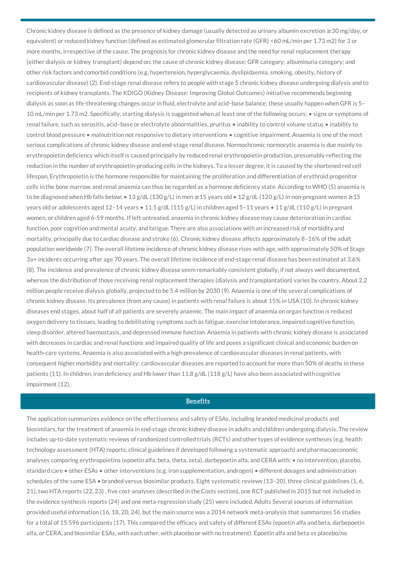Chronic kidney disease is defined as the presence of kidney damage (usually detected as urinary albumin excretion ≥30 mg/day, or equivalent) or reduced kidney function (defined as estimated glomerular filtration rate (GFR) <60 mL/min per 1.73 m2) for 3 or more months, irrespective of the cause. The prognosis for chronic kidney disease and the need for renal replacement therapy (either dialysis or kidney transplant) depend on: the cause of chronic kidney disease; GFR category; albuminuria category; and other risk factors and comorbid conditions (e.g. hypertension, hyperglycaemia, dyslipidaemia, smoking, obesity, history of cardiovascular disease) (2). End-stage renal disease refers to people with stage 5 chronic kidney disease undergoing dialysis and to recipients of kidney transplants. The KDIGO (Kidney Disease: Improving Global Outcomes) initiative recommends beginning dialysis as soon as life-threatening changes occur in fluid, electrolyte and acid–base balance; these usually happen when GFR is 5– 10 mL/min per 1.73 m2. Specifically, starting dialysis is suggested when at least one of the following occurs: • signs or symptoms of renal failure, such as serositis, acid–base or electrolyte abnormalities, pruritus • inability to control volume status • inability to control blood pressure • malnutrition not responsive to dietary interventions • cognitive impairment. Anaemia is one of the most serious complications of chronic kidney disease and end-stage renal disease. Normochromic normocytic anaemia is due mainly to erythropoietin deficiency which itself is caused principally by reduced renal erythropoietin production, presumably reflecting the reduction in the number of erythropoietin-producing cells in the kidneys. To a lesser degree, it is caused by the shortened red cell lifespan. Erythropoietin is the hormone responsible for maintaining the proliferation and differentiation of erythroid progenitor cells in the bone marrow, and renal anaemia can thus be regarded as a hormone deficiency state. According to WHO (5) anaemia is to be diagnosed when Hb falls below: • 13 g/dL (130 g/L) in men  $\geq$  15 years old • 12 g/dL (120 g/L) in non-pregnant women  $\geq$  15 years old or adolescents aged 12–14 years • 11.5 g/dL (115 g/L) in children aged 5–11 years • 11 g/dL (110 g/L) in pregnant women, or children aged 6-59 months. If left untreated, anaemia in chronic kidney disease may cause deterioration in cardiac function, poor cognition and mental acuity, and fatigue. There are also associations with an increased risk of morbidity and mortality, principally due to cardiac disease and stroke (6). Chronic kidney disease affects approximately 8–16% of the adult population worldwide (7). The overall lifetime incidence of chronic kidney disease rises with age, with approximately 50% of Stage 3a+ incidents occurring after age 70 years. The overall lifetime incidence of end-stage renal disease has been estimated at 3.6% (8). The incidence and prevalence of chronic kidney disease seem remarkably consistent globally, if not always well documented, whereas the distribution of those receiving renal replacement therapies (dialysis and transplantation) varies by country. About 2.2 million people receive dialysis globally, projected to be 5.4 million by 2030 (9). Anaemia is one of the several complications of chronic kidney disease. Its prevalence (from any cause) in patients with renal failure is about 15% in USA (10). In chronic kidney diseases end stages, about half of all patients are severely anaemic. The main impact of anaemia on organ function is reduced oxygen delivery to tissues, leading to debilitating symptoms such as fatigue, exercise intolerance, impaired cognitive function, sleep disorder, altered haemostasis, and depressed immune function. Anaemia in patients with chronic kidney disease is associated with decreases in cardiac and renal functions and impaired quality of life and poses a significant clinical and economic burden on health-care systems. Anaemia is also associated with a high prevalence of cardiovascular diseases in renal patients, with consequent higher morbidity and mortality: cardiovascular diseases are reported to account for more than 50% of deaths in these patients (11). In children, iron deficiency and Hb lower than 11.8 g/dL (118 g/L) have also been associated with cognitive impairment (12).

#### **Benefits**

The application summarizes evidence on the effectiveness and safety of ESAs, including branded medicinal products and biosimilars, for the treatment of anaemia in end-stage chronic kidney disease in adults and children undergoing dialysis. The review includes up-to-date systematic reviews of randomized controlled trials (RCTs) and other types of evidence syntheses (e.g. health technology assessment (HTA) reports, clinical guidelines if developed following a systematic approach) and pharmacoeconomic analyses comparing erythropoietins (epoetin alfa, beta, theta, zeta), darbepoetin alfa, and CERA with: • no intervention, placebo, standard care • other ESAs • other interventions (e.g. iron supplementation, androgen) • different dosages and administration schedules of the same ESA • branded versus biosimilar products. Eight systematic reviews (13-20), three clinical guidelines (1,6, 21), two HTA reports (22, 23) , five cost-analyses (described in the Costs section), one RCT published in 2015 but not included in the evidence synthesis reports (24) and one meta-regression study (25) were included. Adults Several sources of information provided useful information (16, 18, 20, 24), but the main source was a 2014 network meta-analysis that summarizes 56 studies for a total of 15 596 participants (17). This compared the efficacy and safety of different ESAs (epoetin alfa and beta, darbepoetin alfa, or CERA, and biosimilar ESAs, with each other, with placebo or with no treatment). Epoetin alfa and beta vs placebo/no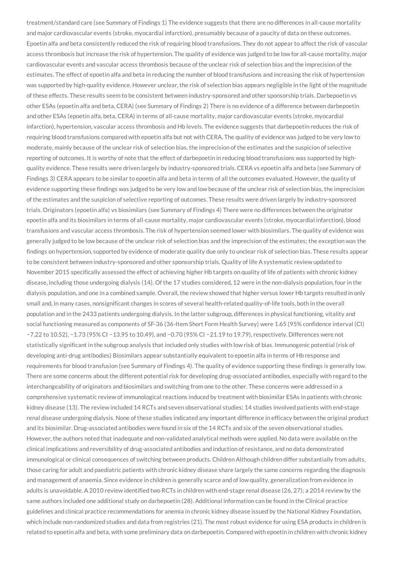treatment/standard care (see Summary of Findings 1) The evidence suggests that there are no differences in all-cause mortality and major cardiovascular events (stroke, myocardial infarction), presumably because of a paucity of data on these outcomes. Epoetin alfa and beta consistently reduced the risk of requiring blood transfusions. They do not appear to affect the risk of vascular access thrombosis but increase the risk of hypertension. The quality of evidence was judged to be low for all-cause mortality, major cardiovascular events and vascular access thrombosis because of the unclear risk of selection bias and the imprecision of the estimates. The effect of epoetin alfa and beta in reducing the number of blood transfusions and increasing the risk of hypertension was supported by high-quality evidence. However unclear, the risk of selection bias appears negligible in the light of the magnitude of these effects. These results seem to be consistent between industry-sponsored and other sponsorship trials. Darbepoetin vs other ESAs (epoetin alfa and beta, CERA) (see Summary of Findings 2) There is no evidence of a difference between darbepoetin and other ESAs (epoetin alfa, beta, CERA) in terms of all-cause mortality, major cardiovascular events (stroke, myocardial infarction), hypertension, vascular access thrombosis and Hb levels. The evidence suggests that darbepoetin reduces the risk of requiring blood transfusions compared with epoetin alfa but not with CERA. The quality of evidence was judged to be very low to moderate, mainly because of the unclear risk of selection bias, the imprecision of the estimates and the suspicion of selective reporting of outcomes. It is worthy of note that the effect of darbepoetin in reducing blood transfusions was supported by highquality evidence. These results were driven largely by industry-sponsored trials. CERA vs epoetin alfa and beta (see Summary of Findings 3) CERA appears to be similar to epoetin alfa and beta in terms of all the outcomes evaluated. However, the quality of evidence supporting these findings was judged to be very low and low because of the unclear risk of selection bias, the imprecision of the estimates and the suspicion of selective reporting of outcomes. These results were driven largely by industry-sponsored trials. Originators (epoetin alfa) vs biosimilars (see Summary of Findings 4) There were no differences between the originator epoetin alfa and its biosimilars in terms of all-cause mortality, major cardiovascular events (stroke, myocardial infarction), blood transfusions and vascular access thrombosis. The risk of hypertension seemed lower with biosimilars. The quality of evidence was generally judged to be low because of the unclear risk of selection bias and the imprecision of the estimates; the exception was the findings on hypertension, supported by evidence of moderate quality due only to unclear risk of selection bias. These results appear to be consistent between industry-sponsored and other sponsorship trials. Quality of life A systematic review updated to November 2015 specifically assessed the effect of achieving higher Hb targets on quality of life of patients with chronic kidney disease, including those undergoing dialysis (14). Of the 17 studies considered, 12 were in the non-dialysis population, four in the dialysis population, and one in a combined sample. Overall, the review showed that higher versus lower Hb targets resulted in only small and, in many cases, nonsignificant changes in scores of several health-related quality-of-life tools, both in the overall population and in the 2433 patients undergoing dialysis. In the latter subgroup, differences in physical functioning, vitality and social functioning measured as components of SF-36 (36-Item Short Form Health Survey) were 1.65 (95% confidence interval (CI) −7.22 to 10.52), −1.73 (95% CI −13.95 to 10.49), and −0.70 (95% CI −21.19 to 19.79), respectively. Differences were not statistically significant in the subgroup analysis that included only studies with low risk of bias. Immunogenic potential (risk of developing anti-drug antibodies) Biosimilars appear substantially equivalent to epoetin alfa in terms of Hb response and requirements for blood transfusion (see Summary of Findings 4). The quality of evidence supporting these findings is generally low. There are some concerns about the different potential risk for developing drug-associated antibodies, especially with regard to the interchangeability of originators and biosimilars and switching from one to the other. These concerns were addressed in a comprehensive systematic review of immunological reactions induced by treatment with biosimilar ESAs in patients with chronic kidney disease (13). The review included 14 RCTs and seven observational studies; 14 studies involved patients with end-stage renal disease undergoing dialysis. None of these studies indicated any important difference in efficacy between the original product and its biosimilar. Drug-associated antibodies were found in six of the 14 RCTs and six of the seven observational studies. However, the authors noted that inadequate and non-validated analytical methods were applied. No data were available on the clinical implications and reversibility of drug-associated antibodies and induction of resistance, and no data demonstrated immunological or clinical consequences of switching between products. Children Although children differ substantially from adults, those caring for adult and paediatric patients with chronic kidney disease share largely the same concerns regarding the diagnosis and management of anaemia. Since evidence in children is generally scarce and of low quality, generalization from evidence in adults is unavoidable. A 2010 review identified two RCTs in children with end-stage renal disease (26, 27); a 2014 review by the same authors included one additional study on darbepoetin (28). Additional information can be found in the Clinical practice guidelines and clinical practice recommendations for anemia in chronic kidney disease issued by the National Kidney Foundation, which include non-randomized studies and data from registries (21). The most robust evidence for using ESA products in children is related to epoetin alfa and beta, with some preliminary data on darbepoetin. Compared with epoetin in children with chronic kidney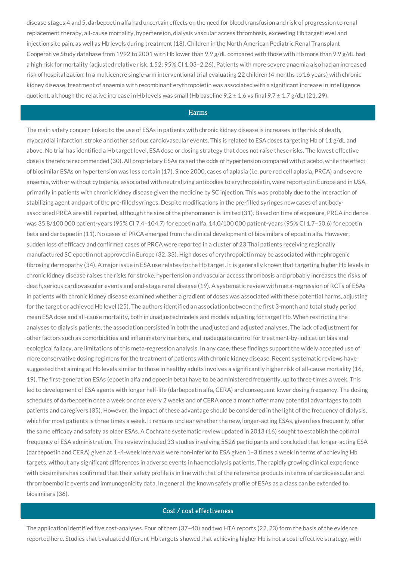disease stages 4 and 5, darbepoetin alfa had uncertain effects on the need for blood transfusion and risk of progression to renal replacement therapy, all-cause mortality, hypertension, dialysis vascular access thrombosis, exceeding Hb target level and injection site pain, as well as Hb levels during treatment (18). Children in the North American Pediatric Renal Transplant Cooperative Study database from 1992 to 2001 with Hb lower than 9.9 g/dL compared with those with Hb more than 9.9 g/dL had a high risk for mortality (adjusted relative risk, 1.52; 95% CI 1.03–2.26). Patients with more severe anaemia also had an increased risk of hospitalization. In a multicentre single-arm interventional trial evaluating 22 children (4 months to 16 years) with chronic kidney disease, treatment of anaemia with recombinant erythropoietin was associated with a significant increase in intelligence quotient, although the relative increase in Hb levels was small (Hb baseline  $9.2 \pm 1.6$  vs final  $9.7 \pm 1.7$  g/dL) (21, 29).

### Harms

The main safety concern linked to the use of ESAs in patients with chronic kidney disease is increases in the risk of death, myocardial infarction, stroke and other serious cardiovascular events. This is related to ESA doses targeting Hb of 11 g/dL and above. No trial has identified a Hb target level, ESA dose or dosing strategy that does not raise these risks. The lowest effective dose is therefore recommended (30). All proprietary ESAs raised the odds of hypertension compared with placebo, while the effect of biosimilar ESAs on hypertension was less certain (17). Since 2000, cases of aplasia (i.e. pure red cell aplasia, PRCA) and severe anaemia, with or without cytopenia, associated with neutralizing antibodies to erythropoietin, were reported in Europe and in USA, primarily in patients with chronic kidney disease given the medicine by SC injection. This was probably due to the interaction of stabilizing agent and part of the pre-filled syringes. Despite modifications in the pre-filled syringes new cases of antibodyassociated PRCA are still reported, although the size of the phenomenon is limited (31). Based on time of exposure, PRCA incidence was 35.8/100 000 patient-years (95% CI 7.4–104.7) for epoetin alfa, 14.0/100 000 patient-years (95% CI 1.7–50.6) for epoetin beta and darbepoetin (11). No cases of PRCA emerged from the clinical development of biosimilars of epoetin alfa. However, sudden loss of efficacy and confirmed cases of PRCA were reported in a cluster of 23 Thai patients receiving regionally manufactured SC epoetin not approved in Europe (32, 33). High doses of erythropoietin may be associated with nephrogenic fibrosing dermopathy (34). A major issue in ESA use relates to the Hb target. It is generally known that targeting higher Hb levels in chronic kidney disease raises the risks for stroke, hypertension and vascular access thrombosis and probably increases the risks of death, serious cardiovascular events and end-stage renal disease (19). A systematic review with meta-regression of RCTs of ESAs in patients with chronic kidney disease examined whether a gradient of doses was associated with these potential harms, adjusting for the target or achieved Hb level (25). The authors identified an association between the first 3-month and total study period mean ESA dose and all-cause mortality, both in unadjusted models and models adjusting for target Hb. When restricting the analyses to dialysis patients, the association persisted in both the unadjusted and adjusted analyses. The lack of adjustment for other factors such as comorbidities and inflammatory markers, and inadequate control for treatment-by-indication bias and ecological fallacy, are limitations of this meta-regression analysis. In any case, these findings support the widely accepted use of more conservative dosing regimens for the treatment of patients with chronic kidney disease. Recent systematic reviews have suggested that aiming at Hb levels similar to those in healthy adults involves a significantly higher risk of all-cause mortality (16, 19). The first-generation ESAs (epoetin alfa and epoetin beta) have to be administered frequently, up to three times a week. This led to development of ESA agents with longer half-life (darbepoetin alfa, CERA) and consequent lower dosing frequency. The dosing schedules of darbepoetin once a week or once every 2 weeks and of CERA once a month offer many potential advantages to both patients and caregivers (35). However, the impact of these advantage should be considered in the light of the frequency of dialysis, which for most patients is three times a week. It remains unclear whether the new, longer-acting ESAs, given less frequently, offer the same efficacy and safety as older ESAs. A Cochrane systematic review updated in 2013 (16) sought to establish the optimal frequency of ESA administration. The review included 33 studies involving 5526 participants and concluded that longer-acting ESA (darbepoetin and CERA) given at 1–4-week intervals were non-inferior to ESA given 1–3 times a week in terms of achieving Hb targets, without any significant differences in adverse events in haemodialysis patients. The rapidly growing clinical experience with biosimilars has confirmed that their safety profile is in line with that of the reference products in terms of cardiovascular and thromboembolic events and immunogenicity data. In general, the known safety profile of ESAs as a class can be extended to biosimilars (36).

## Cost / cost effectiveness

The application identified five cost-analyses. Four of them (37–40) and two HTA reports (22, 23) form the basis of the evidence reported here. Studies that evaluated different Hb targets showed that achieving higher Hb is not a cost-effective strategy, with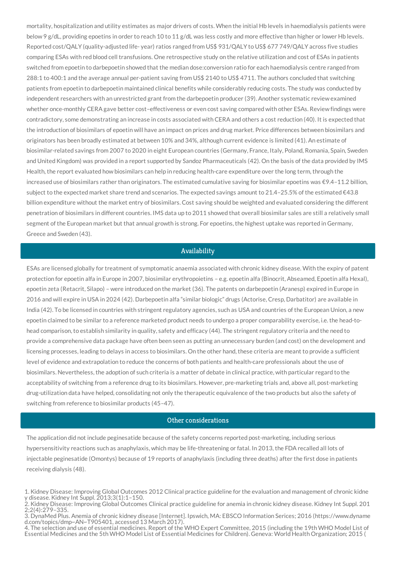mortality, hospitalization and utility estimates as major drivers of costs. When the initial Hb levels in haemodialysis patients were below 9 g/dL, providing epoetins in order to reach 10 to 11 g/dL was less costly and more effective than higher or lower Hb levels. Reported cost/QALY (quality-adjusted life- year) ratios ranged from US\$ 931/QALY to US\$ 677 749/QALY across five studies comparing ESAs with red blood cell transfusions. One retrospective study on the relative utilization and cost of ESAs in patients switched from epoetin to darbepoetin showed that the median dose:conversion ratio for each haemodialysis centre ranged from 288:1 to 400:1 and the average annual per-patient saving from US\$ 2140 to US\$ 4711. The authors concluded that switching patients from epoetin to darbepoetin maintained clinical benefits while considerably reducing costs. The study was conducted by independent researchers with an unrestricted grant from the darbepoetin producer (39). Another systematic review examined whether once-monthly CERA gave better cost–effectiveness or even cost saving compared with other ESAs. Review findings were contradictory, some demonstrating an increase in costs associated with CERA and others a cost reduction (40). It is expected that the introduction of biosimilars of epoetin will have an impact on prices and drug market. Price differences between biosimilars and originators has been broadly estimated at between 10% and 34%, although current evidence is limited (41). An estimate of biosimilar-related savings from 2007 to 2020 in eight European countries (Germany, France, Italy, Poland, Romania, Spain, Sweden and United Kingdom) was provided in a report supported by Sandoz Pharmaceuticals (42). On the basis of the data provided by IMS Health, the report evaluated how biosimilars can help in reducing health-care expenditure over the long term, through the increased use of biosimilars rather than originators. The estimated cumulative saving for biosimilar epoetins was €9.4–11.2 billion, subject to the expected market share trend and scenarios. The expected savings amount to 21.4–25.5% of the estimated €43.8 billion expenditure without the market entry of biosimilars. Cost saving should be weighted and evaluated considering the different penetration of biosimilars in different countries. IMS data up to 2011 showed that overall biosimilar sales are still a relatively small segment of the European market but that annual growth is strong. For epoetins, the highest uptake was reported in Germany, Greece and Sweden (43).

### Availability

ESAs are licensed globally for treatment of symptomatic anaemia associated with chronic kidney disease. With the expiry of patent protection for epoetin alfa in Europe in 2007, biosimilar erythropoietins – e.g. epoetin alfa (Binocrit, Abseamed, Epoetin alfa Hexal), epoetin zeta (Retacrit, Silapo) – were introduced on the market (36). The patents on darbepoetin (Aranesp) expired in Europe in 2016 and will expire in USA in 2024 (42). Darbepoetin alfa "similar biologic" drugs (Actorise, Cresp, Darbatitor) are available in India (42). To be licensed in countries with stringent regulatory agencies, such as USA and countries of the European Union, a new epoetin claimed to be similar to a reference marketed product needs to undergo a proper comparability exercise, i.e. the head-tohead comparison, to establish similarity in quality, safety and efficacy (44). The stringent regulatory criteria and the need to provide a comprehensive data package have often been seen as putting an unnecessary burden (and cost) on the development and licensing processes, leading to delays in access to biosimilars. On the other hand, these criteria are meant to provide a sufficient level of evidence and extrapolation to reduce the concerns of both patients and health-care professionals about the use of biosimilars. Nevertheless, the adoption of such criteria is a matter of debate in clinical practice, with particular regard to the acceptability of switching from a reference drug to its biosimilars. However, pre-marketing trials and, above all, post-marketing drug-utilization data have helped, consolidating not only the therapeutic equivalence of the two products but also the safety of switching from reference to biosimilar products (45–47).

#### Other considerations

The application did not include peginesatide because of the safety concerns reported post-marketing, including serious hypersensitivity reactions such as anaphylaxis, which may be life-threatening or fatal. In 2013, the FDA recalled all lots of injectable peginesatide (Omontys) because of 19 reports of anaphylaxis (including three deaths) after the first dose in patients receiving dialysis (48).

<sup>1.</sup> Kidney Disease: Improving Global Outcomes 2012 Clinical practice guideline for the evaluation and management of chronic kidne y disease. Kidney Int Suppl. 2013;3(1):1–150.

<sup>2.</sup> Kidney Disease: Improving Global Outcomes Clinical practice guideline for anemia in chronic kidney disease. Kidney Int Suppl. 201 2;2(4):279–335.

<sup>3.</sup> DynaMed Plus. Anemia of chronic kidney disease [Internet]. Ipswich, MA: EBSCO Information Serices; 2016 (https://www.dyname d.com/topics/dmp~AN~T905401, accessed 13 March 2017).

<sup>4.</sup> The selection and use of essential medicines. Report of the WHO Expert Committee, 2015 (including the 19th WHO Model List of Essential Medicines and the 5th WHO Model List of Essential Medicines for Children). Geneva: World Health Organization; 2015 (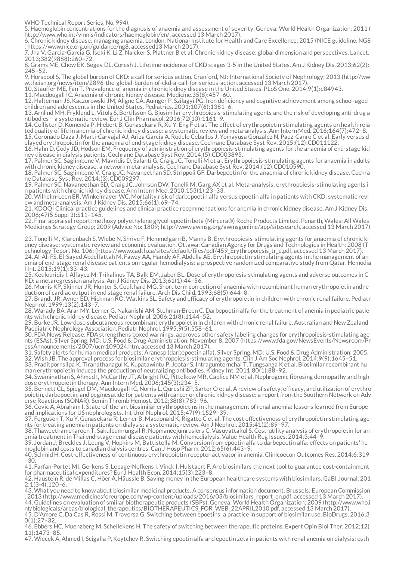WHO Technical Report Series, No. 994).

5. Haemoglobin concentrations for the diagnosis of anaemia and assessment of severity. Geneva: World Health Organization; 2011 ( http://www.who.int/vmnis/indicators/haemoglobin/en/, accessed 13 March 2017).

6. Chronic kidney disease: managing anaemia. London: National Institute for Health and Care Excellence; 2015 (NICE guideline, NG8 ; https://www.nice.org.uk/guidance/ng8, accessed13 March 2017).

7. Jha V, Garcia-Garcia G, Iseki K, Li Z, Naicker S, Plattner B et al. Chronic kidney disease: global dimension and perspectives. Lancet. 2013;382(9888):260–72.

8. Grams ME, Chow EK, Segev DL, Coresh J. Lifetime incidence of CKD stages 3-5 in the United States. Am J Kidney Dis. 2013;62(2): 245–52.

9. Horspool S. The global burden of CKD: a call for serious action. Cranford, NJ: International Society of Nephrology; 2013 (http://ww w.theisn.org/news/item/2896-the-global-burden-of-ckd-a-call-for-serious-action, accessed 13 March 2017).

10. Stauffer ME, Fan T. Prevalence of anemia in chronic kidney disease in the United States. PLoS One. 2014;9(1):e84943.

11. Macdougall IC. Anaemia of chronic kidney disease. Medicine.35(8):457–60.

12. Halterman JS, Kaczorowski JM, Aligne CA, Auinger P, Szilagyi PG. Iron deficiency and cognitive achievement among school-aged children and adolescents in the United States. Pediatrics. 2001;107(6):1381–6.

13. Arnlind MH, Fryklund L, Vitols S, Bertilsson G. Biosimilar erythropoiesis-stimulating agents and the risk of developing anti-drug a ntibodies – a systematic review. Eur J Clin Pharmacol. 2016;72(10):1161–9.

14. Collister D, Komenda P, Hiebert B, Gunasekara R, Xu Y, Eng F et al. The effect of erythropoietin-stimulating agents on health-rela ted quality of life in anemia of chronic kidney disease: a systematic review and meta-analysis. Ann Intern Med. 2016;164(7):472–8. 15. Coronado Daza J, Marti-Carvajal AJ, Ariza Garcia A, Rodelo Ceballos J, Yomayusa Gonzalez N, Paez-Canro C et al. Early versus d

elayed erythropoietin for the anaemia of end-stage kidney disease. Cochrane Database Syst Rev. 2015;(12):CD011122. 16. Hahn D, Cody JD, Hodson EM. Frequency of administration of erythropoiesis-stimulating agents for the anaemia of end-stage kid

ney disease in dialysis patients. Cochrane Database Syst Rev. 2014;(5):CD003895. 17. Palmer SC, Saglimbene V, Mavridis D, Salanti G, Craig JC, Tonelli M et al. Erythropoiesis-stimulating agents for anaemia in adults with chronic kidney disease: a network meta-analysis. Cochrane Database Syst Rev. 2014;(12):CD010590.

18. Palmer SC, Saglimbene V, Craig JC, Navaneethan SD, Strippoli GF. Darbepoetin for the anaemia of chronic kidney disease. Cochra ne Database Syst Rev. 2014;(3):CD009297.

19. Palmer SC, Navaneethan SD, Craig JC, Johnson DW, Tonelli M, Garg AX et al. Meta-analysis: erythropoiesis-stimulating agents i n patients with chronic kidney disease. Ann Intern Med. 2010;153(1):23–33.

20. Wilhelm-Leen ER, Winkelmayer WC. Mortality risk of darbepoetin alfa versus epoetin alfa in patients with CKD: systematic revi ew and meta-analysis. Am J Kidney Dis. 2015;66(1):69–74.

21. KDOQI Clinical practice guidelines and clinical practice recommendations for anemia in chronic kidney disease. Am J Kidney Dis. 2006;47(5 Suppl 3):S11–145.

22. Final appraisal report: methoxy polyethylene glycol-epoetin beta (Mircera®) Roche Products Limited. Penarth, Wales: All Wales Medicines Strategy Group; 2009 (Advice No: 1809; http://www.awmsg.org/awmsgonline/app/sitesearch, accessed 13 March 2017) .

23. Tonelli M, Klarenbach S, Wiebe N, Shrive F, Hemmelgarn B, Manns B. Erythropoiesis-stimulating agents for anaemia of chronic ki dney disease: systematic review and economic evaluation. Ottawa: Canadian Agency for Drugs and Technologies in Health; 2008 (T echnology Teport No. 106; (https://www.cadth.ca/sites/default/files/pdf/459\_Erythropoiesis\_tr\_e.pdf, accessed 13 March 2017).

24. Al-Ali FS, El-Sayed Abdelfattah M, Fawzy AA, Hamdy AF, Abdulla AE. Erythropoietin-stimulating agents in the management of an emia of end-stage renal disease patients on regular hemodialysis: a prospective randomized comparative study from Qatar. Hemodia l Int. 2015;19(1):33–43.

25. Koulouridis I, Alfayez M, Trikalinos TA, Balk EM, Jaber BL. Dose of erythropoiesis-stimulating agents and adverse outcomes in C KD: a metaregression analysis. Am J Kidney Dis. 2013;61(1):44–56.

26. Morris KP, Skinner JR, Hunter S, Coulthard MG. Short term correction of anaemia with recombinant human erythropoietin and re duction of cardiac output in end stage renal failure. Arch Dis Child. 1993;68(5):644–8.

27. Brandt JR, Avner ED, Hickman RO, Watkins SL. Safety and efficacy of erythropoietin in children with chronic renal failure. Pediatr Nephrol. 1999;13(2):143–7.

28. Warady BA, Arar MY, Lerner G, Nakanishi AM, Stehman-Breen C. Darbepoetin alfa for the treatment of anemia in pediatric patie nts with chronic kidney disease. Pediatr Nephrol. 2006;21(8):1144–52.

29. Burke JR. Low-dose subcutaneous recombinant erythropoietin in children with chronic renal failure. Australian and New Zealand Paediatric Nephrology Association. Pediatr Nephrol. 1995;9(5):558-61.

30. FDA News Release. FDA strengthens boxed warnings, approves other safety labeling changes for erythropoiesis-stimulating age nts (ESAs). Silver Spring, MD: U.S. Food & Drug Administration; November 8, 2007 (https://www.fda.gov/NewsEvents/Newsroom/Pr essAnnouncements/2007/ucm109024.htm, accessed 13 March 2017).

31. Safety alerts for human medical products: Aranesp (darbepoetin alfa). Silver Spring, MD: U.S. Food & Drug Administration; 2005. 32. Wish JB. The approval process for biosimilar erythropoiesis-stimulating agents. Clin J Am Soc Nephrol. 2014;9(9):1645–51.

33. Praditpornsilpa K, Tiranathanagul K, Kupatawintu P, Jootar S, Intragumtornchai T, Tungsanga K et al. Biosimilar recombinant hu man erythropoietin induces the production of neutralizing antibodies. Kidney Int. 2011;80(1):88–92.

34. Swaminathan S, Ahmed I, McCarthy JT, Albright RC, Pittelkow MR, Caplice NM et al. Nephrogenic fibrosing dermopathy and highdose erythropoietin therapy. Ann Intern Med. 2006;145(3):234–5.

35. Bennett CL, Spiegel DM, Macdougall IC, Norris L, Qureshi ZP, Sartor O et al. A review of safety, efficacy, and utilization of erythro poietin, darbepoetin, and peginesatide for patients with cancer or chronic kidney disease: a report from the Southern Network on Adv erse Reactions (SONAR). Semin Thromb Hemost. 2012;38(8):783–96.

36. Covic A, Abraham I. State-of-the-art biosimilar erythropoietins in the management of renal anemia: lessons learned from Europe and implications for US nephrologists. Int Urol Nephrol. 2015;47(9):1529–39.

37. Ferguson T, Xu Y, Gunasekara R, Lerner B, Macdonald K, Rigatto C et al. The cost effectiveness of erythropoietin-stimulating age nts for treating anemia in patients on dialysis: a systematic review. Am J Nephrol. 2015;41(2):89–97.

38. Thaweethamcharoen T, Sakulbumrungsil R, Nopmaneejumruslers C, Vasuvattakul S. Cost-utility analysis of erythropoietin for an emia treatment in Thai end-stage renal disease patients with hemodialysis. Value Health Reg Issues. 2014;3:44–9.

39. Jordan J, Breckles J, Leung V, Hopkins M, Battistella M. Conversion from epoetin alfa to darbepoetin alfa: effects on patients' he moglobin and costs to canadian dialysis centres. Can J Hosp Pharm. 2012;65(6):443–9.

40. Schmid H. Cost-effectiveness of continuous erythropoietin receptor activator in anemia. Clinicoecon Outcomes Res. 2014;6:319 –30.

41. Farfan-Portet MI, Gerkens S, Lepage-Nefkens I, Vinck I, Hulstaert F. Are biosimilars the next tool to guarantee cost-containment for pharmaceutical expenditures? Eur J Health Econ. 2014;15(3):223–8.

42. Haustein R, de Millas C, Höer A, Häussle B. Saving money in the European healthcare systems with biosimilars. GaBI Journal. 201 2;1(3-4):120–6.

43. What you need to know about biosimilar medicinal products. A consensus information document. Brussels: European Commission ; 2013 (http://www.medicinesforeurope.com/wp-content/uploads/2016/03/biosimilars\_report\_en.pdf, accessed 13 March 2017).

44. Guidelines on evaluation of smiilar biotherapeutic products (SBPs). Geneva: World Health Organization; 2009 (http://www.who.i nt/biologicals/areas/biological\_therapeutics/BIOTHERAPEUTICS\_FOR\_WEB\_22APRIL2010.pdf, accessed 13 March 2017).

45. D'Amore C, Da Cas R, Rossi M, Traversa G. Switching between epoetins: a practice in support of biosimilar use. BioDrugs. 2016;3 0(1):27–32.

46. Ebbers HC, Muenzberg M, Schellekens H. The safety of switching between therapeutic proteins. Expert Opin Biol Ther. 2012;12( 11):1473–85.

47. Wiecek A, Ahmed I, Scigalla P, Koytchev R. Switching epoetin alfa and epoetin zeta in patients with renal anemia on dialysis: osth